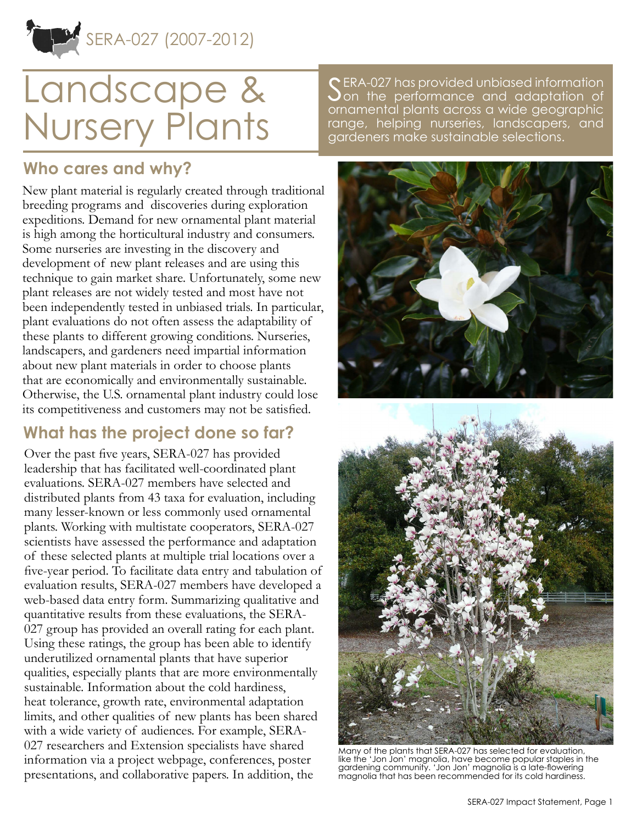SERA-027 (2007-2012)

# Landscape & Nursery Plants

SERA-027 has provided unbiased information on the performance and adaptation of ornamental plants across a wide geographic range, helping nurseries, landscapers, and gardeners make sustainable selections.

#### **Who cares and why?**

New plant material is regularly created through traditional breeding programs and discoveries during exploration expeditions. Demand for new ornamental plant material is high among the horticultural industry and consumers. Some nurseries are investing in the discovery and development of new plant releases and are using this technique to gain market share. Unfortunately, some new plant releases are not widely tested and most have not been independently tested in unbiased trials. In particular, plant evaluations do not often assess the adaptability of these plants to different growing conditions. Nurseries, landscapers, and gardeners need impartial information about new plant materials in order to choose plants that are economically and environmentally sustainable. Otherwise, the U.S. ornamental plant industry could lose its competitiveness and customers may not be satisfied.

## **What has the project done so far?**

Over the past five years, SERA-027 has provided leadership that has facilitated well-coordinated plant evaluations. SERA-027 members have selected and distributed plants from 43 taxa for evaluation, including many lesser-known or less commonly used ornamental plants. Working with multistate cooperators, SERA-027 scientists have assessed the performance and adaptation of these selected plants at multiple trial locations over a five-year period. To facilitate data entry and tabulation of evaluation results, SERA-027 members have developed a web-based data entry form. Summarizing qualitative and quantitative results from these evaluations, the SERA-027 group has provided an overall rating for each plant. Using these ratings, the group has been able to identify underutilized ornamental plants that have superior qualities, especially plants that are more environmentally sustainable. Information about the cold hardiness, heat tolerance, growth rate, environmental adaptation limits, and other qualities of new plants has been shared with a wide variety of audiences. For example, SERA-027 researchers and Extension specialists have shared information via a project [webpage](http://www.lsuagcenter.com/en/administration/about_us/professional_organizations/sera_ieg_27/), conferences, poster presentations, and collaborative papers. In addition, the





Many of the plants that SERA-027 has selected for evaluation, like the 'Jon Jon' magnolia, have become popular staples in the gardening community. 'Jon Jon' magnolia is a late-flowering magnolia that has been recommended for its cold hardiness.